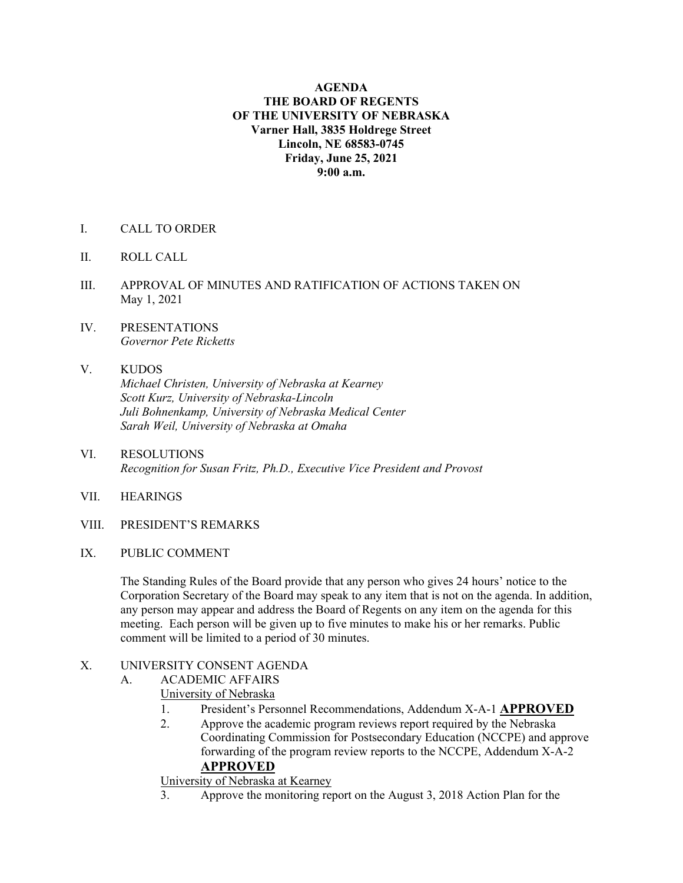#### **AGENDA THE BOARD OF REGENTS OF THE UNIVERSITY OF NEBRASKA Varner Hall, 3835 Holdrege Street Lincoln, NE 68583-0745 Friday, June 25, 2021 9:00 a.m.**

- I. CALL TO ORDER
- II. ROLL CALL
- III. APPROVAL OF MINUTES AND RATIFICATION OF ACTIONS TAKEN ON May 1, 2021
- IV. PRESENTATIONS *Governor Pete Ricketts*

### V. KUDOS  *Michael Christen, University of Nebraska at Kearney Scott Kurz, University of Nebraska-Lincoln Juli Bohnenkamp, University of Nebraska Medical Center Sarah Weil, University of Nebraska at Omaha*

- VI. RESOLUTIONS  *Recognition for Susan Fritz, Ph.D., Executive Vice President and Provost*
- VII. HEARINGS
- VIII. PRESIDENT'S REMARKS
- IX. PUBLIC COMMENT

The Standing Rules of the Board provide that any person who gives 24 hours' notice to the Corporation Secretary of the Board may speak to any item that is not on the agenda. In addition, any person may appear and address the Board of Regents on any item on the agenda for this meeting. Each person will be given up to five minutes to make his or her remarks. Public comment will be limited to a period of 30 minutes.

#### X. UNIVERSITY CONSENT AGENDA

- A. ACADEMIC AFFAIRS
	- University of Nebraska
	- 1. President's Personnel Recommendations, Addendum X-A-1 **APPROVED**
	- 2. Approve the academic program reviews report required by the Nebraska Coordinating Commission for Postsecondary Education (NCCPE) and approve forwarding of the program review reports to the NCCPE, Addendum X-A-2 **APPROVED**

University of Nebraska at Kearney

3. Approve the monitoring report on the August 3, 2018 Action Plan for the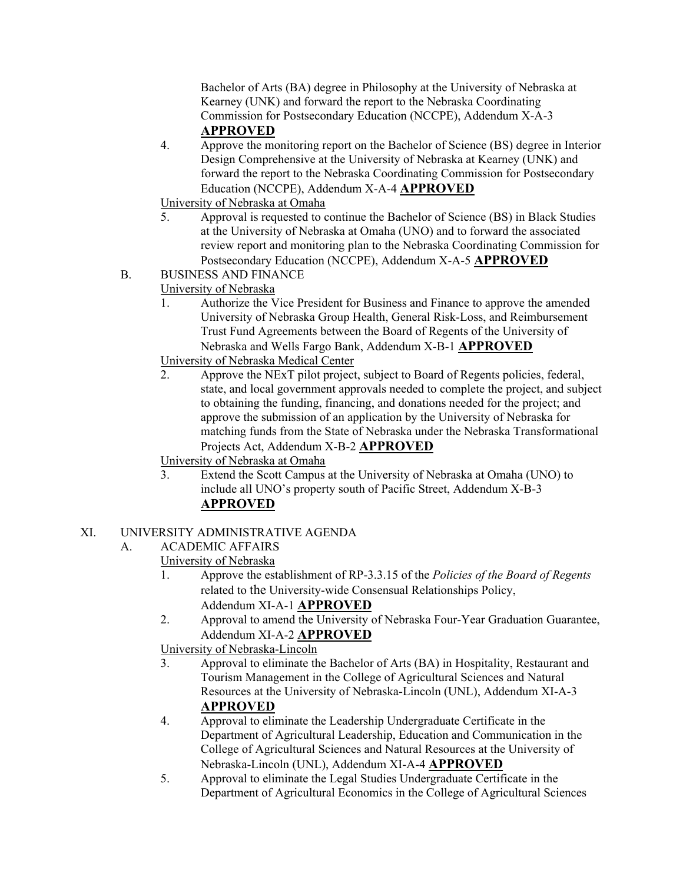Bachelor of Arts (BA) degree in Philosophy at the University of Nebraska at Kearney (UNK) and forward the report to the Nebraska Coordinating Commission for Postsecondary Education (NCCPE), Addendum X-A-3

# **APPROVED**

4. Approve the monitoring report on the Bachelor of Science (BS) degree in Interior Design Comprehensive at the University of Nebraska at Kearney (UNK) and forward the report to the Nebraska Coordinating Commission for Postsecondary Education (NCCPE), Addendum X-A-4 **APPROVED**

University of Nebraska at Omaha

- 5. Approval is requested to continue the Bachelor of Science (BS) in Black Studies at the University of Nebraska at Omaha (UNO) and to forward the associated review report and monitoring plan to the Nebraska Coordinating Commission for Postsecondary Education (NCCPE), Addendum X-A-5 **APPROVED**
- B. BUSINESS AND FINANCE
	- University of Nebraska
		- 1. Authorize the Vice President for Business and Finance to approve the amended University of Nebraska Group Health, General Risk-Loss, and Reimbursement Trust Fund Agreements between the Board of Regents of the University of Nebraska and Wells Fargo Bank, Addendum X-B-1 **APPROVED**
		- University of Nebraska Medical Center
		- 2. Approve the NExT pilot project, subject to Board of Regents policies, federal, state, and local government approvals needed to complete the project, and subject to obtaining the funding, financing, and donations needed for the project; and approve the submission of an application by the University of Nebraska for matching funds from the State of Nebraska under the Nebraska Transformational Projects Act, Addendum X-B-2 **APPROVED**

University of Nebraska at Omaha

3. Extend the Scott Campus at the University of Nebraska at Omaha (UNO) to include all UNO's property south of Pacific Street, Addendum X-B-3 **APPROVED**

# XI. UNIVERSITY ADMINISTRATIVE AGENDA

# A. ACADEMIC AFFAIRS

- University of Nebraska
	- 1. Approve the establishment of RP-3.3.15 of the *Policies of the Board of Regents* related to the University-wide Consensual Relationships Policy,
		- Addendum XI-A-1 **APPROVED**
	- 2. Approval to amend the University of Nebraska Four-Year Graduation Guarantee, Addendum XI-A-2 **APPROVED**

University of Nebraska-Lincoln

- 3. Approval to eliminate the Bachelor of Arts (BA) in Hospitality, Restaurant and Tourism Management in the College of Agricultural Sciences and Natural Resources at the University of Nebraska-Lincoln (UNL), Addendum XI-A-3 **APPROVED**
- 4. Approval to eliminate the Leadership Undergraduate Certificate in the Department of Agricultural Leadership, Education and Communication in the College of Agricultural Sciences and Natural Resources at the University of Nebraska-Lincoln (UNL), Addendum XI-A-4 **APPROVED**
- 5. Approval to eliminate the Legal Studies Undergraduate Certificate in the Department of Agricultural Economics in the College of Agricultural Sciences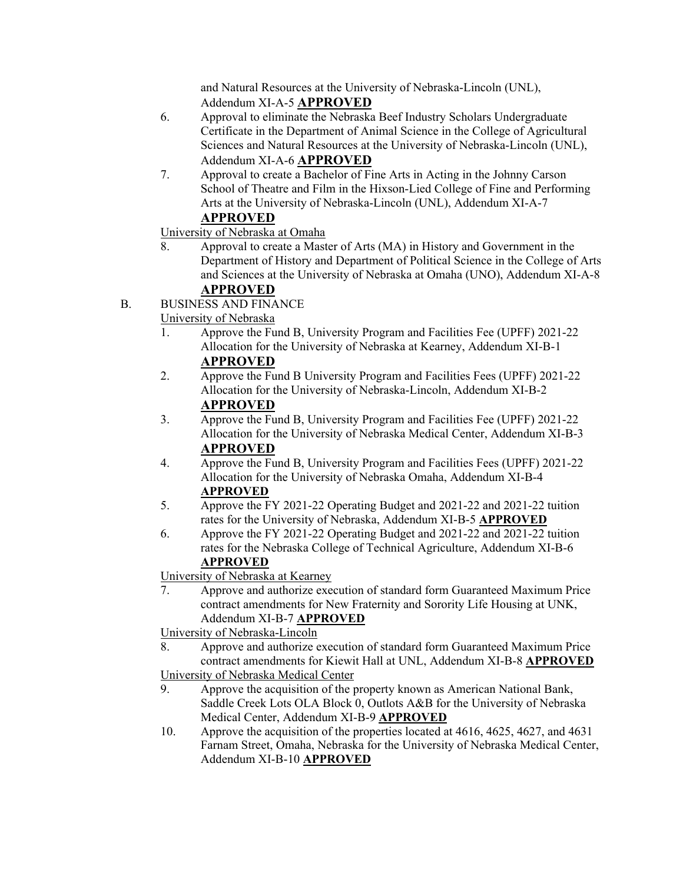and Natural Resources at the University of Nebraska-Lincoln (UNL), Addendum XI-A-5 **APPROVED**

- 6. Approval to eliminate the Nebraska Beef Industry Scholars Undergraduate Certificate in the Department of Animal Science in the College of Agricultural Sciences and Natural Resources at the University of Nebraska-Lincoln (UNL), Addendum XI-A-6 **APPROVED**
- 7. Approval to create a Bachelor of Fine Arts in Acting in the Johnny Carson School of Theatre and Film in the Hixson-Lied College of Fine and Performing Arts at the University of Nebraska-Lincoln (UNL), Addendum XI-A-7 **APPROVED**

University of Nebraska at Omaha

- 8. Approval to create a Master of Arts (MA) in History and Government in the Department of History and Department of Political Science in the College of Arts and Sciences at the University of Nebraska at Omaha (UNO), Addendum XI-A-8 **APPROVED**
- B. BUSINESS AND FINANCE

University of Nebraska

- 1. Approve the Fund B, University Program and Facilities Fee (UPFF) 2021-22 Allocation for the University of Nebraska at Kearney, Addendum XI-B-1 **APPROVED**
- 2. Approve the Fund B University Program and Facilities Fees (UPFF) 2021-22 Allocation for the University of Nebraska-Lincoln, Addendum XI-B-2 **APPROVED**
- 3. Approve the Fund B, University Program and Facilities Fee (UPFF) 2021-22 Allocation for the University of Nebraska Medical Center, Addendum XI-B-3 **APPROVED**
- 4. Approve the Fund B, University Program and Facilities Fees (UPFF) 2021-22 Allocation for the University of Nebraska Omaha, Addendum XI-B-4 **APPROVED**
- 5. Approve the FY 2021-22 Operating Budget and 2021-22 and 2021-22 tuition rates for the University of Nebraska, Addendum XI-B-5 **APPROVED**
- 6. Approve the FY 2021-22 Operating Budget and 2021-22 and 2021-22 tuition rates for the Nebraska College of Technical Agriculture, Addendum XI-B-6 **APPROVED**

University of Nebraska at Kearney

7. Approve and authorize execution of standard form Guaranteed Maximum Price contract amendments for New Fraternity and Sorority Life Housing at UNK, Addendum XI-B-7 **APPROVED**

University of Nebraska-Lincoln

8. Approve and authorize execution of standard form Guaranteed Maximum Price contract amendments for Kiewit Hall at UNL, Addendum XI-B-8 **APPROVED**

University of Nebraska Medical Center

- 9. Approve the acquisition of the property known as American National Bank, Saddle Creek Lots OLA Block 0, Outlots A&B for the University of Nebraska Medical Center, Addendum XI-B-9 **APPROVED**
- 10. Approve the acquisition of the properties located at 4616, 4625, 4627, and 4631 Farnam Street, Omaha, Nebraska for the University of Nebraska Medical Center, Addendum XI-B-10 **APPROVED**